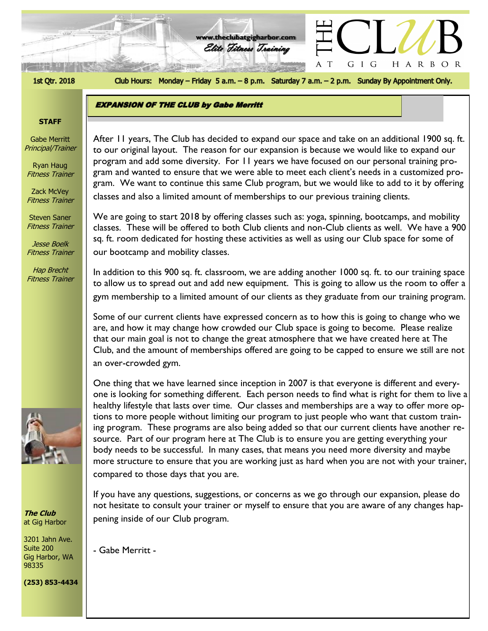

Club Hours: Monday - Friday 5 a.m. - 8 p.m. Saturday 7 a.m. - 2 p.m. Sunday By Appointment Only.

HARBOR

GIG

 $\top$ 

**www.theclubatgigharbor.com**

Elite Fitness Training

**EXPANSION OF THE CLUB by Gabe Merritt** 

# **STAFF**

Gabe Merritt Principal/Trainer

Ryan Haug Fitness Trainer

Zack McVey Fitness Trainer

Steven Saner Fitness Trainer

Jesse Boelk Fitness Trainer

Hap Brecht Fitness Trainer



**The Club** at Gig Harbor

3201 Jahn Ave. Suite 200 Gig Harbor, WA 98335

**(253) 853-4434**

to our original layout. The reason for our expansion is because we would like to expand our<br>program and add some diversity. For 11 years we have focused on our personal training pro-After 11 years, The Club has decided to expand our space and take on an additional 1900 sq. ft. to our original layout. The reason for our expansion is because we would like to expand our gram and wanted to ensure that we were able to meet each client's needs in a customized program. We want to continue this same Club program, but we would like to add to it by offering classes and also a limited amount of memberships to our previous training clients.

We are going to start 2018 by offering classes such as: yoga, spinning, bootcamps, and mobility classes. These will be offered to both Club clients and non-Club clients as well. We have a 900 sq. ft. room dedicated for hosting these activities as well as using our Club space for some of our bootcamp and mobility classes.

In addition to this 900 sq. ft. classroom, we are adding another 1000 sq. ft. to our training space to allow us to spread out and add new equipment. This is going to allow us the room to offer a gym membership to a limited amount of our clients as they graduate from our training program.

Some of our current clients have expressed concern as to how this is going to change who we are, and how it may change how crowded our Club space is going to become. Please realize that our main goal is not to change the great atmosphere that we have created here at The Club, and the amount of memberships offered are going to be capped to ensure we still are not an over-crowded gym.

One thing that we have learned since inception in 2007 is that everyone is different and everyone is looking for something different. Each person needs to find what is right for them to live a healthy lifestyle that lasts over time. Our classes and memberships are a way to offer more options to more people without limiting our program to just people who want that custom training program. These programs are also being added so that our current clients have another resource. Part of our program here at The Club is to ensure you are getting everything your body needs to be successful. In many cases, that means you need more diversity and maybe more structure to ensure that you are working just as hard when you are not with your trainer, compared to those days that you are.

If you have any questions, suggestions, or concerns as we go through our expansion, please do not hesitate to consult your trainer or myself to ensure that you are aware of any changes happening inside of our Club program.

- Gabe Merritt -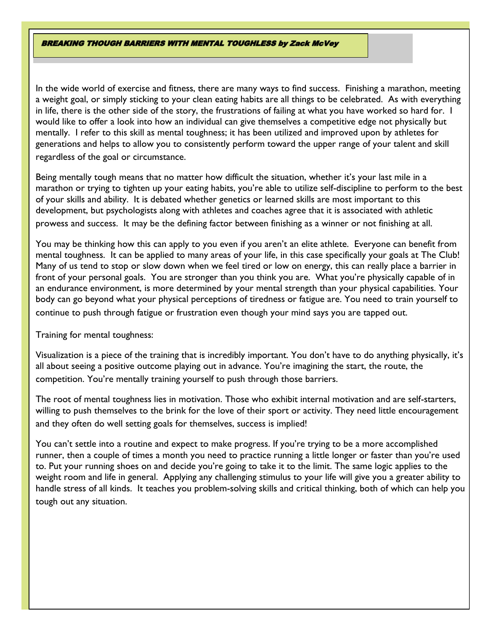In the wide world of exercise and fitness, there are many ways to find success. Finishing a marathon, meeting a weight goal, or simply sticking to your clean eating habits are all things to be celebrated. As with everything in life, there is the other side of the story, the frustrations of failing at what you have worked so hard for. I would like to offer a look into how an individual can give themselves a competitive edge not physically but mentally. I refer to this skill as mental toughness; it has been utilized and improved upon by athletes for generations and helps to allow you to consistently perform toward the upper range of your talent and skill regardless of the goal or circumstance.

Being mentally tough means that no matter how difficult the situation, whether it's your last mile in a marathon or trying to tighten up your eating habits, you're able to utilize self-discipline to perform to the best of your skills and ability. It is debated whether genetics or learned skills are most important to this development, but psychologists along with athletes and coaches agree that it is associated with athletic prowess and success. It may be the defining factor between finishing as a winner or not finishing at all.

You may be thinking how this can apply to you even if you aren't an elite athlete. Everyone can benefit from mental toughness. It can be applied to many areas of your life, in this case specifically your goals at The Club! Many of us tend to stop or slow down when we feel tired or low on energy, this can really place a barrier in front of your personal goals. You are stronger than you think you are. What you're physically capable of in an endurance environment, is more determined by your mental strength than your physical capabilities. Your body can go beyond what your physical perceptions of tiredness or fatigue are. You need to train yourself to continue to push through fatigue or frustration even though your mind says you are tapped out.

Training for mental toughness:

Visualization is a piece of the training that is incredibly important. You don't have to do anything physically, it's all about seeing a positive outcome playing out in advance. You're imagining the start, the route, the competition. You're mentally training yourself to push through those barriers.

The root of mental toughness lies in motivation. Those who exhibit internal motivation and are self-starters, willing to push themselves to the brink for the love of their sport or activity. They need little encouragement and they often do well setting goals for themselves, success is implied!

You can't settle into a routine and expect to make progress. If you're trying to be a more accomplished runner, then a couple of times a month you need to practice running a little longer or faster than you're used to. Put your running shoes on and decide you're going to take it to the limit. The same logic applies to the weight room and life in general. Applying any challenging stimulus to your life will give you a greater ability to handle stress of all kinds. It teaches you problem-solving skills and critical thinking, both of which can help you tough out any situation.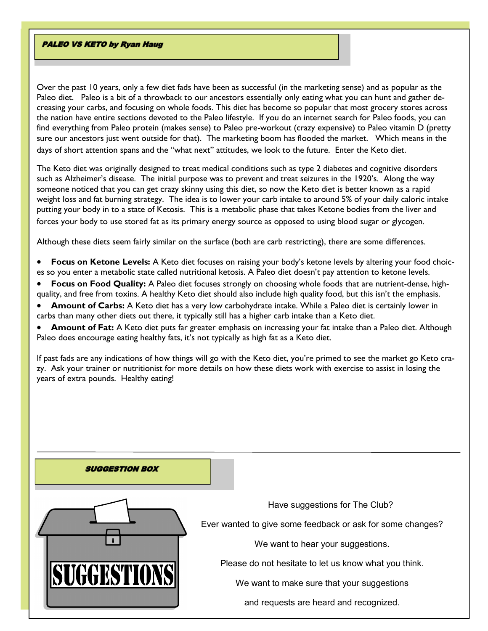#### **PALEO VS KETO by Ryan Haug**

Over the past 10 years, only a few diet fads have been as successful (in the marketing sense) and as popular as the Paleo diet. Paleo is a bit of a throwback to our ancestors essentially only eating what you can hunt and gather decreasing your carbs, and focusing on whole foods. This diet has become so popular that most grocery stores across the nation have entire sections devoted to the Paleo lifestyle. If you do an internet search for Paleo foods, you can find everything from Paleo protein (makes sense) to Paleo pre-workout (crazy expensive) to Paleo vitamin D (pretty sure our ancestors just went outside for that). The marketing boom has flooded the market. Which means in the days of short attention spans and the "what next" attitudes, we look to the future. Enter the Keto diet.

The Keto diet was originally designed to treat medical conditions such as type 2 diabetes and cognitive disorders such as Alzheimer's disease. The initial purpose was to prevent and treat seizures in the 1920's. Along the way someone noticed that you can get crazy skinny using this diet, so now the Keto diet is better known as a rapid weight loss and fat burning strategy. The idea is to lower your carb intake to around 5% of your daily caloric intake putting your body in to a state of Ketosis. This is a metabolic phase that takes Ketone bodies from the liver and forces your body to use stored fat as its primary energy source as opposed to using blood sugar or glycogen.

Although these diets seem fairly similar on the surface (both are carb restricting), there are some differences.

- **Focus on Ketone Levels:** A Keto diet focuses on raising your body's ketone levels by altering your food choices so you enter a metabolic state called nutritional ketosis. A Paleo diet doesn't pay attention to ketone levels.
- **Focus on Food Quality:** A Paleo diet focuses strongly on choosing whole foods that are nutrient-dense, highquality, and free from toxins. A healthy Keto diet should also include high quality food, but this isn't the emphasis.
- **Amount of Carbs:** A Keto diet has a very low carbohydrate intake. While a Paleo diet is certainly lower in carbs than many other diets out there, it typically still has a higher carb intake than a Keto diet.
- **Amount of Fat:** A Keto diet puts far greater emphasis on increasing your fat intake than a Paleo diet. Although Paleo does encourage eating healthy fats, it's not typically as high fat as a Keto diet.

If past fads are any indications of how things will go with the Keto diet, you're primed to see the market go Keto crazy. Ask your trainer or nutritionist for more details on how these diets work with exercise to assist in losing the years of extra pounds. Healthy eating!

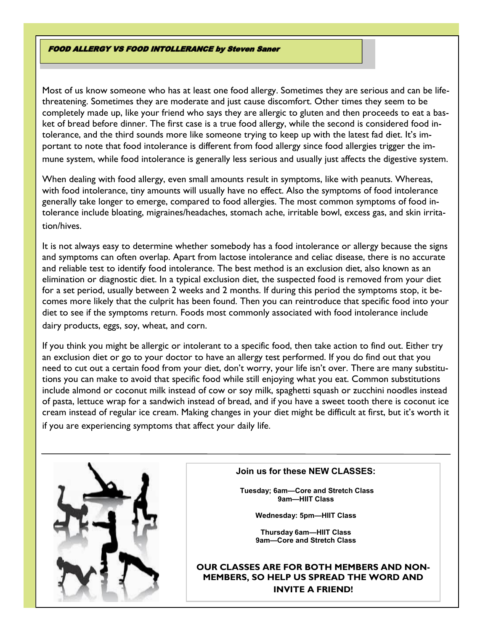#### **FOOD ALLERGY VS FOOD INTOLLERANCE by Steven Saner**

Most of us know someone who has at least one food allergy. Sometimes they are serious and can be lifethreatening. Sometimes they are moderate and just cause discomfort. Other times they seem to be completely made up, like your friend who says they are allergic to gluten and then proceeds to eat a basket of bread before dinner. The first case is a true food allergy, while the second is considered food intolerance, and the third sounds more like someone trying to keep up with the latest fad diet. It's important to note that food intolerance is different from food allergy since food allergies trigger the im-

mune system, while food intolerance is generally less serious and usually just affects the digestive system.

When dealing with food allergy, even small amounts result in symptoms, like with peanuts. Whereas, with food intolerance, tiny amounts will usually have no effect. Also the symptoms of food intolerance generally take longer to emerge, compared to food allergies. The most common symptoms of food intolerance include bloating, migraines/headaches, stomach ache, irritable bowl, excess gas, and skin irritation/hives.

It is not always easy to determine whether somebody has a food intolerance or allergy because the signs and symptoms can often overlap. Apart from lactose intolerance and celiac disease, there is no accurate and reliable test to identify food intolerance. The best method is an exclusion diet, also known as an elimination or diagnostic diet. In a typical exclusion diet, the suspected food is removed from your diet for a set period, usually between 2 weeks and 2 months. If during this period the symptoms stop, it becomes more likely that the culprit has been found. Then you can reintroduce that specific food into your diet to see if the symptoms return. Foods most commonly associated with food intolerance include dairy products, eggs, soy, wheat, and corn.

If you think you might be allergic or intolerant to a specific food, then take action to find out. Either try an exclusion diet or go to your doctor to have an allergy test performed. If you do find out that you need to cut out a certain food from your diet, don't worry, your life isn't over. There are many substitutions you can make to avoid that specific food while still enjoying what you eat. Common substitutions include almond or coconut milk instead of cow or soy milk, spaghetti squash or zucchini noodles instead of pasta, lettuce wrap for a sandwich instead of bread, and if you have a sweet tooth there is coconut ice cream instead of regular ice cream. Making changes in your diet might be difficult at first, but it's worth it if you are experiencing symptoms that affect your daily life.



#### **Join us for these NEW CLASSES:**

**Tuesday; 6am—Core and Stretch Class 9am—HIIT Class**

**Wednesday: 5pm—HIIT Class**

**Thursday 6am—HIIT Class 9am—Core and Stretch Class**

**OUR CLASSES ARE FOR BOTH MEMBERS AND NON-MEMBERS, SO HELP US SPREAD THE WORD AND INVITE A FRIEND!**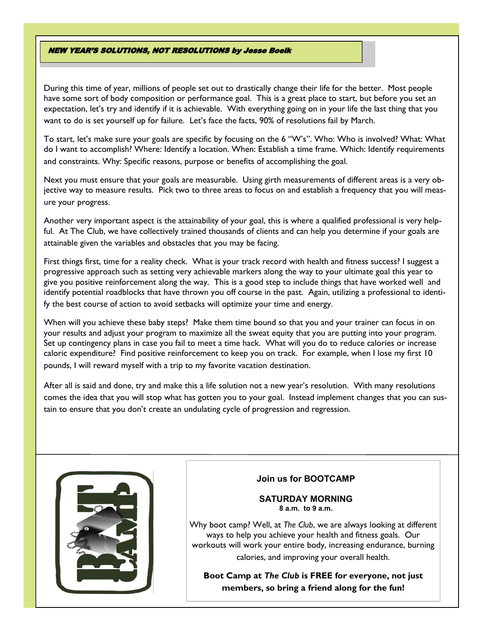#### **NEW YEAR'S SOLUTIONS, NOT RESOLUTIONS by Jesse Boelk**

During this time of year, millions of people set out to drastically change their life for the better. Most people have some sort of body composition or performance goal. This is a great place to start, but before you set an expectation, let's try and identify if it is achievable. With everything going on in your life the last thing that you want to do is set yourself up for failure. Let's face the facts, 90% of resolutions fail by March.

To start, let's make sure your goals are specific by focusing on the 6 "W's". Who: Who is involved? What: What do I want to accomplish? Where: Identify a location. When: Establish a time frame. Which: Identify requirements and constraints. Why: Specific reasons, purpose or benefits of accomplishing the goal.

Next you must ensure that your goals are measurable. Using girth measurements of different areas is a very objective way to measure results. Pick two to three areas to focus on and establish a frequency that you will measure your progress.

Another very important aspect is the attainability of your goal, this is where a qualified professional is very helpful. At The Club, we have collectively trained thousands of clients and can help you determine if your goals are attainable given the variables and obstacles that you may be facing.

First things first, time for a reality check. What is your track record with health and fitness success? I suggest a progressive approach such as setting very achievable markers along the way to your ultimate goal this year to give you positive reinforcement along the way. This is a good step to include things that have worked well and identify potential roadblocks that have thrown you off course in the past. Again, utilizing a professional to identify the best course of action to avoid setbacks will optimize your time and energy.

When will you achieve these baby steps? Make them time bound so that you and your trainer can focus in on your results and adjust your program to maximize all the sweat equity that you are putting into your program. Set up contingency plans in case you fail to meet a time hack. What will you do to reduce calories or increase caloric expenditure? Find positive reinforcement to keep you on track. For example, when I lose my first 10 pounds, I will reward myself with a trip to my favorite vacation destination.

After all is said and done, try and make this a life solution not a new year's resolution. With many resolutions comes the idea that you will stop what has gotten you to your goal. Instead implement changes that you can sustain to ensure that you don't create an undulating cycle of progression and regression.



## **Join us for BOOTCAMP**

#### **SATURDAY MORNING 8 a.m. to 9 a.m.**

Why boot camp? Well, at *The Club*, we are always looking at different ways to help you achieve your health and fitness goals. Our workouts will work your entire body, increasing endurance, burning calories, and improving your overall health.

**Boot Camp at** *The Club* **is FREE for everyone, not just members, so bring a friend along for the fun!**